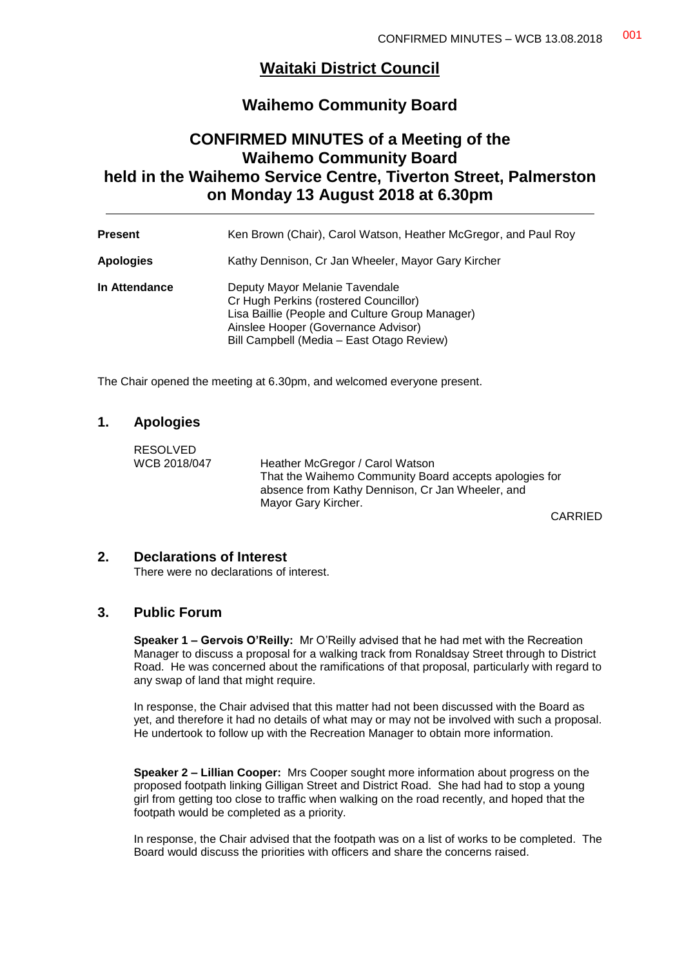## **Waitaki District Council**

## **Waihemo Community Board**

## **CONFIRMED MINUTES of a Meeting of the Waihemo Community Board held in the Waihemo Service Centre, Tiverton Street, Palmerston on Monday 13 August 2018 at 6.30pm**

| <b>Present</b>   | Ken Brown (Chair), Carol Watson, Heather McGregor, and Paul Roy                                                                                                                                                |
|------------------|----------------------------------------------------------------------------------------------------------------------------------------------------------------------------------------------------------------|
| <b>Apologies</b> | Kathy Dennison, Cr Jan Wheeler, Mayor Gary Kircher                                                                                                                                                             |
| In Attendance    | Deputy Mayor Melanie Tavendale<br>Cr Hugh Perkins (rostered Councillor)<br>Lisa Baillie (People and Culture Group Manager)<br>Ainslee Hooper (Governance Advisor)<br>Bill Campbell (Media - East Otago Review) |

The Chair opened the meeting at 6.30pm, and welcomed everyone present.

#### **1. Apologies**

RESOLVED<br>WCB 2018/047

Heather McGregor / Carol Watson That the Waihemo Community Board accepts apologies for absence from Kathy Dennison, Cr Jan Wheeler, and Mayor Gary Kircher.

CARRIED

#### **2. Declarations of Interest**

There were no declarations of interest.

## **3. Public Forum**

**Speaker 1 – Gervois O'Reilly:** Mr O'Reilly advised that he had met with the Recreation Manager to discuss a proposal for a walking track from Ronaldsay Street through to District Road. He was concerned about the ramifications of that proposal, particularly with regard to any swap of land that might require.

In response, the Chair advised that this matter had not been discussed with the Board as yet, and therefore it had no details of what may or may not be involved with such a proposal. He undertook to follow up with the Recreation Manager to obtain more information.

**Speaker 2 – Lillian Cooper:** Mrs Cooper sought more information about progress on the proposed footpath linking Gilligan Street and District Road. She had had to stop a young girl from getting too close to traffic when walking on the road recently, and hoped that the footpath would be completed as a priority.

In response, the Chair advised that the footpath was on a list of works to be completed. The Board would discuss the priorities with officers and share the concerns raised.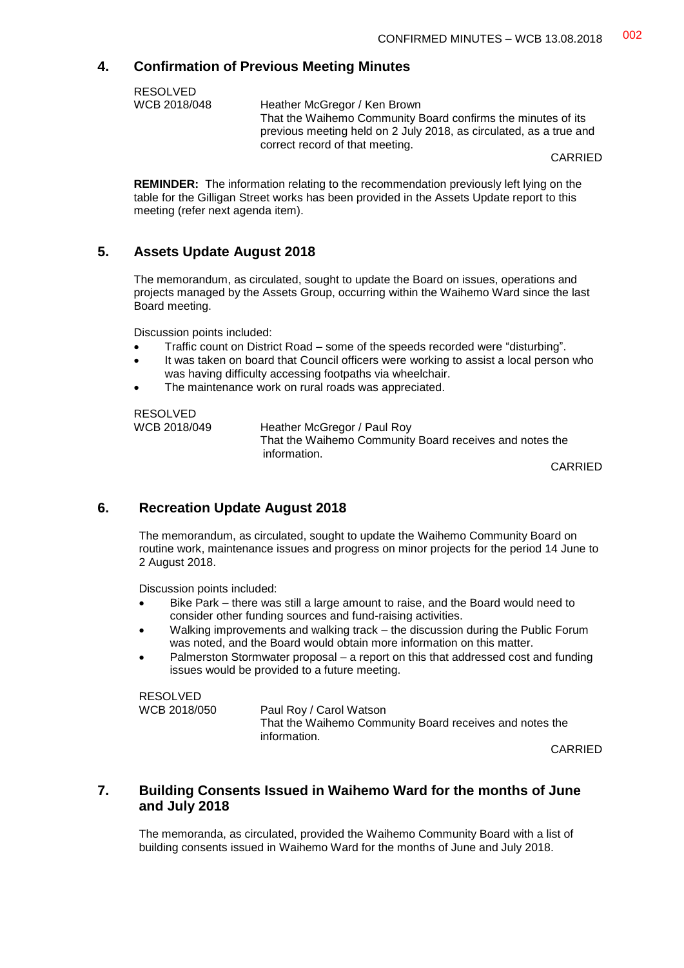#### **4. Confirmation of Previous Meeting Minutes**

| <b>RESOLVED</b> |                                                                                                                                                                       |
|-----------------|-----------------------------------------------------------------------------------------------------------------------------------------------------------------------|
| WCB 2018/048    | Heather McGregor / Ken Brown                                                                                                                                          |
|                 | That the Waihemo Community Board confirms the minutes of its<br>previous meeting held on 2 July 2018, as circulated, as a true and<br>correct record of that meeting. |
|                 | CADDIED                                                                                                                                                               |

CARRIED

**REMINDER:** The information relating to the recommendation previously left lying on the table for the Gilligan Street works has been provided in the Assets Update report to this meeting (refer next agenda item).

#### **5. Assets Update August 2018**

The memorandum, as circulated, sought to update the Board on issues, operations and projects managed by the Assets Group, occurring within the Waihemo Ward since the last Board meeting.

Discussion points included:

- Traffic count on District Road some of the speeds recorded were "disturbing".
- It was taken on board that Council officers were working to assist a local person who was having difficulty accessing footpaths via wheelchair.
- The maintenance work on rural roads was appreciated.

RESOLVED<br>WCB 2018/049

Heather McGregor / Paul Roy That the Waihemo Community Board receives and notes the information.

CARRIED

#### **6. Recreation Update August 2018**

The memorandum, as circulated, sought to update the Waihemo Community Board on routine work, maintenance issues and progress on minor projects for the period 14 June to 2 August 2018.

Discussion points included:

- Bike Park there was still a large amount to raise, and the Board would need to consider other funding sources and fund-raising activities.
- Walking improvements and walking track the discussion during the Public Forum was noted, and the Board would obtain more information on this matter.
- Palmerston Stormwater proposal a report on this that addressed cost and funding issues would be provided to a future meeting.

RESOLVED WCB 2018/050 Paul Roy / Carol Watson That the Waihemo Community Board receives and notes the information.

CARRIED

#### **7. Building Consents Issued in Waihemo Ward for the months of June and July 2018**

The memoranda, as circulated, provided the Waihemo Community Board with a list of building consents issued in Waihemo Ward for the months of June and July 2018.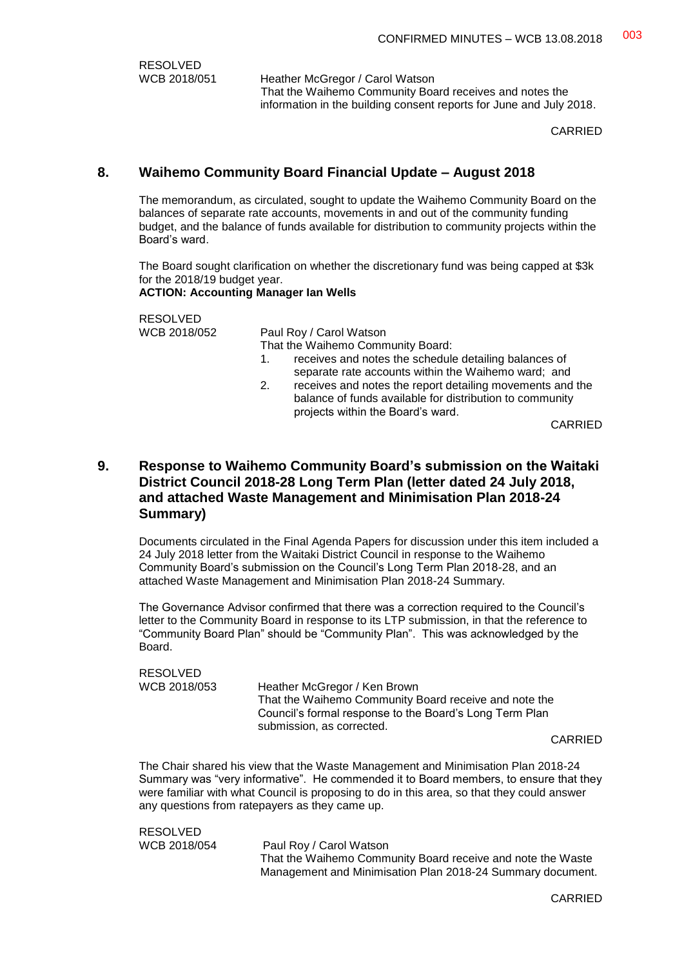RESOLVED<br>WCB 2018/051

Heather McGregor / Carol Watson That the Waihemo Community Board receives and notes the information in the building consent reports for June and July 2018.

CARRIED

## **8. Waihemo Community Board Financial Update – August 2018**

The memorandum, as circulated, sought to update the Waihemo Community Board on the balances of separate rate accounts, movements in and out of the community funding budget, and the balance of funds available for distribution to community projects within the Board's ward.

The Board sought clarification on whether the discretionary fund was being capped at \$3k for the 2018/19 budget year. **ACTION: Accounting Manager Ian Wells**

RESOLVED<br>WCB 2018/052

Paul Roy / Carol Watson That the Waihemo Community Board:

- 1. receives and notes the schedule detailing balances of separate rate accounts within the Waihemo ward; and
- 2. receives and notes the report detailing movements and the balance of funds available for distribution to community projects within the Board's ward.

CARRIED

### **9. Response to Waihemo Community Board's submission on the Waitaki District Council 2018-28 Long Term Plan (letter dated 24 July 2018, and attached Waste Management and Minimisation Plan 2018-24 Summary)**

Documents circulated in the Final Agenda Papers for discussion under this item included a 24 July 2018 letter from the Waitaki District Council in response to the Waihemo Community Board's submission on the Council's Long Term Plan 2018-28, and an attached Waste Management and Minimisation Plan 2018-24 Summary.

The Governance Advisor confirmed that there was a correction required to the Council's letter to the Community Board in response to its LTP submission, in that the reference to "Community Board Plan" should be "Community Plan". This was acknowledged by the Board.

RESOLVED<br>WCB 2018/053 Heather McGregor / Ken Brown That the Waihemo Community Board receive and note the Council's formal response to the Board's Long Term Plan submission, as corrected.

CARRIED

The Chair shared his view that the Waste Management and Minimisation Plan 2018-24 Summary was "very informative". He commended it to Board members, to ensure that they were familiar with what Council is proposing to do in this area, so that they could answer any questions from ratepayers as they came up.

RESOLVED WCB 2018/054 Paul Roy / Carol Watson That the Waihemo Community Board receive and note the Waste Management and Minimisation Plan 2018-24 Summary document.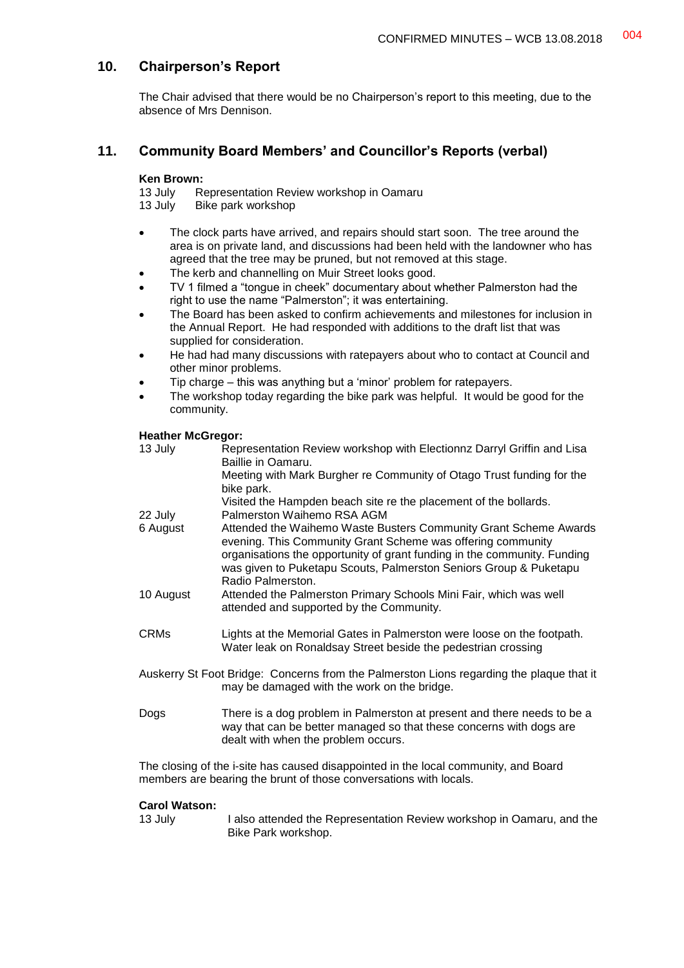## **10. Chairperson's Report**

The Chair advised that there would be no Chairperson's report to this meeting, due to the absence of Mrs Dennison.

## **11. Community Board Members' and Councillor's Reports (verbal)**

# **Ken Brown:**<br>13 July R

- 13 July Representation Review workshop in Oamaru<br>13 July Bike park workshop Bike park workshop
- The clock parts have arrived, and repairs should start soon. The tree around the area is on private land, and discussions had been held with the landowner who has agreed that the tree may be pruned, but not removed at this stage.
- The kerb and channelling on Muir Street looks good.
- TV 1 filmed a "tongue in cheek" documentary about whether Palmerston had the right to use the name "Palmerston"; it was entertaining.
- The Board has been asked to confirm achievements and milestones for inclusion in the Annual Report. He had responded with additions to the draft list that was supplied for consideration.
- He had had many discussions with ratepayers about who to contact at Council and other minor problems.
- Tip charge this was anything but a 'minor' problem for ratepayers.
- The workshop today regarding the bike park was helpful. It would be good for the community.

#### **Heather McGregor:**

| 13 July     | Representation Review workshop with Electionnz Darryl Griffin and Lisa<br>Baillie in Oamaru.                                                                                                                                                                                                          |
|-------------|-------------------------------------------------------------------------------------------------------------------------------------------------------------------------------------------------------------------------------------------------------------------------------------------------------|
|             | Meeting with Mark Burgher re Community of Otago Trust funding for the<br>bike park.                                                                                                                                                                                                                   |
| 22 July     | Visited the Hampden beach site re the placement of the bollards.<br>Palmerston Waihemo RSA AGM                                                                                                                                                                                                        |
| 6 August    | Attended the Waihemo Waste Busters Community Grant Scheme Awards<br>evening. This Community Grant Scheme was offering community<br>organisations the opportunity of grant funding in the community. Funding<br>was given to Puketapu Scouts, Palmerston Seniors Group & Puketapu<br>Radio Palmerston. |
| 10 August   | Attended the Palmerston Primary Schools Mini Fair, which was well<br>attended and supported by the Community.                                                                                                                                                                                         |
| <b>CRMs</b> | Lights at the Memorial Gates in Palmerston were loose on the footpath.<br>Water leak on Ronaldsay Street beside the pedestrian crossing                                                                                                                                                               |
|             | Auskerry St Foot Bridge: Concerns from the Palmerston Lions regarding the plaque that it<br>may be damaged with the work on the bridge.                                                                                                                                                               |

Dogs There is a dog problem in Palmerston at present and there needs to be a way that can be better managed so that these concerns with dogs are dealt with when the problem occurs.

The closing of the i-site has caused disappointed in the local community, and Board members are bearing the brunt of those conversations with locals.

#### **Carol Watson:**

13 July I also attended the Representation Review workshop in Oamaru, and the Bike Park workshop.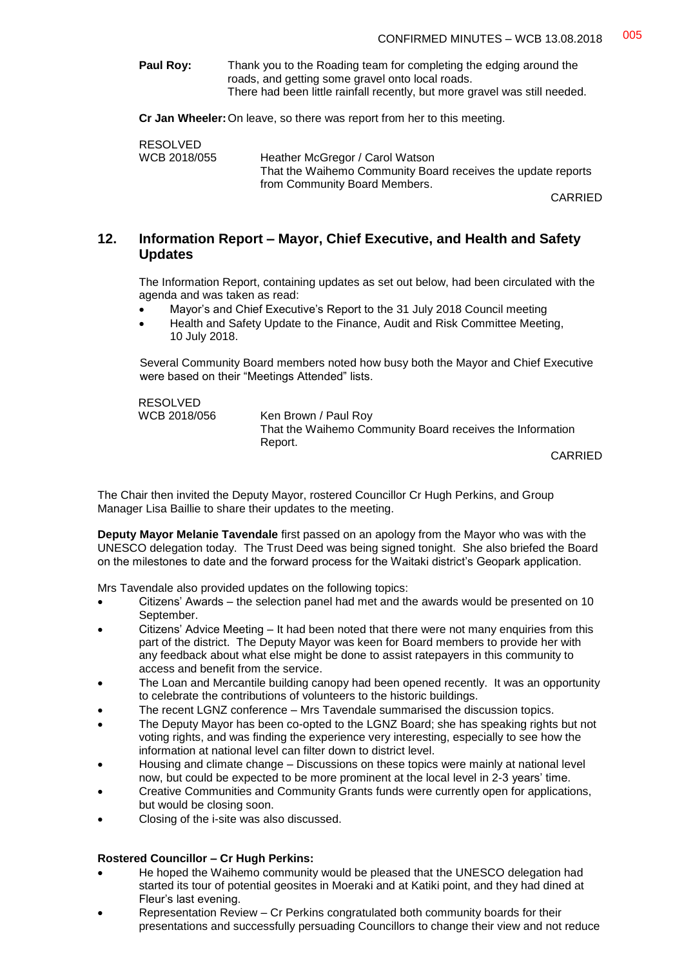**Paul Roy:** Thank you to the Roading team for completing the edging around the roads, and getting some gravel onto local roads. There had been little rainfall recently, but more gravel was still needed.

**Cr Jan Wheeler:**On leave, so there was report from her to this meeting.

RESOLVED<br>WCB 2018/055 Heather McGregor / Carol Watson That the Waihemo Community Board receives the update reports from Community Board Members.

CARRIED

#### **12. Information Report – Mayor, Chief Executive, and Health and Safety Updates**

The Information Report, containing updates as set out below, had been circulated with the agenda and was taken as read:

- Mayor's and Chief Executive's Report to the 31 July 2018 Council meeting
- Health and Safety Update to the Finance, Audit and Risk Committee Meeting, 10 July 2018.

Several Community Board members noted how busy both the Mayor and Chief Executive were based on their "Meetings Attended" lists.

RESOLVED

WCB 2018/056 Ken Brown / Paul Roy That the Waihemo Community Board receives the Information Report.

CARRIED

The Chair then invited the Deputy Mayor, rostered Councillor Cr Hugh Perkins, and Group Manager Lisa Baillie to share their updates to the meeting.

**Deputy Mayor Melanie Tavendale** first passed on an apology from the Mayor who was with the UNESCO delegation today. The Trust Deed was being signed tonight. She also briefed the Board on the milestones to date and the forward process for the Waitaki district's Geopark application.

Mrs Tavendale also provided updates on the following topics:

- Citizens' Awards the selection panel had met and the awards would be presented on 10 September.
- Citizens' Advice Meeting It had been noted that there were not many enquiries from this part of the district. The Deputy Mayor was keen for Board members to provide her with any feedback about what else might be done to assist ratepayers in this community to access and benefit from the service.
- The Loan and Mercantile building canopy had been opened recently. It was an opportunity to celebrate the contributions of volunteers to the historic buildings.
- The recent LGNZ conference Mrs Tavendale summarised the discussion topics.
- The Deputy Mayor has been co-opted to the LGNZ Board; she has speaking rights but not voting rights, and was finding the experience very interesting, especially to see how the information at national level can filter down to district level.
- Housing and climate change Discussions on these topics were mainly at national level now, but could be expected to be more prominent at the local level in 2-3 years' time.
- Creative Communities and Community Grants funds were currently open for applications, but would be closing soon.
- Closing of the i-site was also discussed.

#### **Rostered Councillor – Cr Hugh Perkins:**

- He hoped the Waihemo community would be pleased that the UNESCO delegation had started its tour of potential geosites in Moeraki and at Katiki point, and they had dined at Fleur's last evening.
- Representation Review Cr Perkins congratulated both community boards for their presentations and successfully persuading Councillors to change their view and not reduce